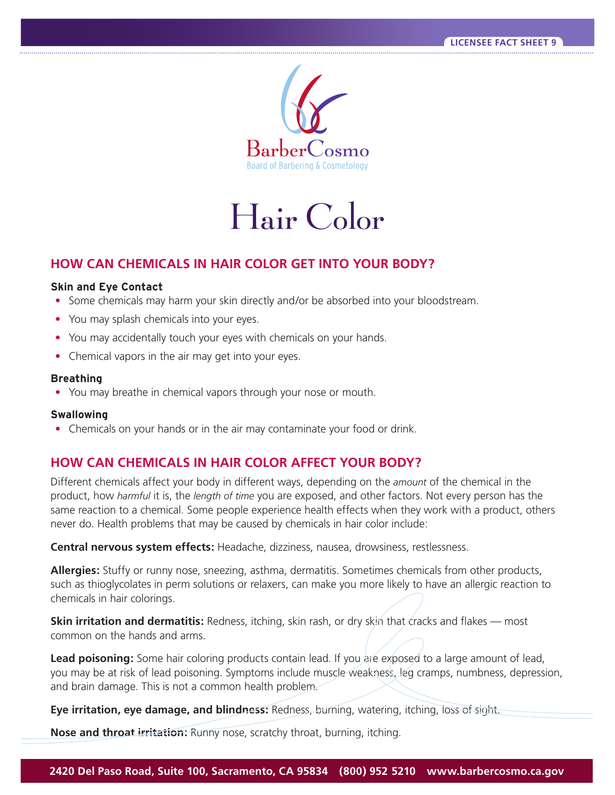

# Hair Color

## **HOW CAN CHEMICALS IN HAIR COLOR GET INTO YOUR BODY?**

#### **Skin and Eye Contact**

- Some chemicals may harm your skin directly and/or be absorbed into your bloodstream.
- You may splash chemicals into your eyes.
- You may accidentally touch your eyes with chemicals on your hands.
- Chemical vapors in the air may get into your eyes.

#### **Breathing**

• You may breathe in chemical vapors through your nose or mouth.

#### **Swallowing**

• Chemicals on your hands or in the air may contaminate your food or drink.

## **HOW CAN CHEMICALS IN HAIR COLOR AFFECT YOUR BODY?**

Different chemicals affect your body in different ways, depending on the *amount* of the chemical in the product, how *harmful* it is, the *length of time* you are exposed, and other factors. Not every person has the same reaction to a chemical. Some people experience health effects when they work with a product, others never do. Health problems that may be caused by chemicals in hair color include:

**Central nervous system effects:** Headache, dizziness, nausea, drowsiness, restlessness.

**Allergies:** Stuffy or runny nose, sneezing, asthma, dermatitis. Sometimes chemicals from other products, such as thioglycolates in perm solutions or relaxers, can make you more likely to have an allergic reaction to chemicals in hair colorings.

**Skin irritation and dermatitis:** Redness, itching, skin rash, or dry skin that cracks and flakes — most common on the hands and arms.

**Lead poisoning:** Some hair coloring products contain lead. If you are exposed to a large amount of lead, you may be at risk of lead poisoning. Symptoms include muscle weakness, leg cramps, numbness, depression, and brain damage. This is not a common health problem.

**Eye irritation, eye damage, and blindness:** Redness, burning, watering, itching, loss of sight.

**Nose and throat irritation:** Runny nose, scratchy throat, burning, itching.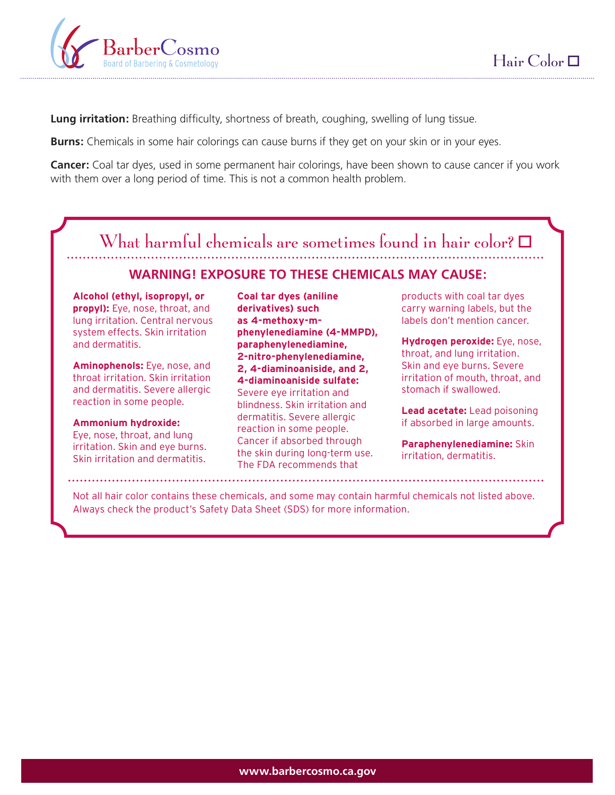

**Lung irritation:** Breathing difficulty, shortness of breath, coughing, swelling of lung tissue.

**Burns:** Chemicals in some hair colorings can cause burns if they get on your skin or in your eyes.

**Cancer:** Coal tar dyes, used in some permanent hair colorings, have been shown to cause cancer if you work with them over a long period of time. This is not a common health problem.

## What harmful chemicals are sometimes found in hair color?  $\Box$

## **WARNING! EXPOSURE TO THESE CHEMICALS MAY CAUSE:**

**Alcohol (ethyl, isopropyl, or propyl):** Eye, nose, throat, and lung irritation. Central nervous system effects. Skin irritation and dermatitis.

**Aminophenols:** Eye, nose, and throat irritation. Skin irritation and dermatitis. Severe allergic reaction in some people.

## **Ammonium hydroxide:**

Eye, nose, throat, and lung irritation. Skin and eye burns. Skin irritation and dermatitis.

**Coal tar dyes (aniline derivatives) such as 4-methoxy-mphenylenediamine (4-MMPD), paraphenylenediamine, 2-nitro-phenylenediamine, 2, 4-diaminoaniside, and 2, 4-diaminoaniside sulfate:**  Severe eye irritation and blindness. Skin irritation and dermatitis. Severe allergic reaction in some people. Cancer if absorbed through the skin during long-term use. The FDA recommends that

products with coal tar dyes carry warning labels, but the labels don't mention cancer.

**Hydrogen peroxide:** Eye, nose, throat, and lung irritation. Skin and eye burns. Severe irritation of mouth, throat, and stomach if swallowed.

**Lead acetate:** Lead poisoning if absorbed in large amounts.

**Paraphenylenediamine:** Skin irritation, dermatitis.

Not all hair color contains these chemicals, and some may contain harmful chemicals not listed above. Always check the product's Safety Data Sheet (SDS) for more information.